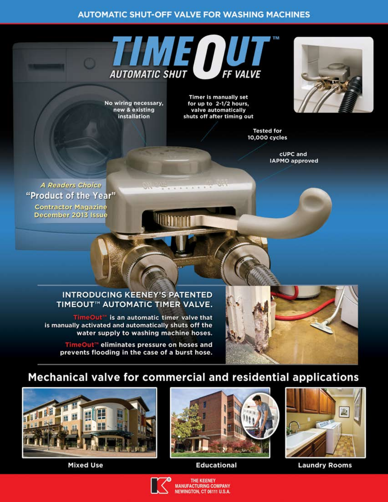## **AUTOMATIC SHUT-OFF VALVE FOR WASHING MACHINES**



 $-6$   $-1$   $-6$   $-8$   $-1$ 

No wiring necessary, new & existing installation

**Timer is manually set** for up to 2-1/2 hours, valve automatically shuts off after timing out

> **Tested for** 10,000 cycles

> > cUPC and **IAPMO** approved

**A Readers Choice** "Product of the Year" **Contractor Magazine** December 2013 Issue

American state

## **INTRODUCING KEENEY'S PATENTED** TIMEOUT™ AUTOMATIC TIMER VALVE.

TimeOut<sup>\*</sup> is an automatic timer valve that is manually activated and automatically shuts off the water supply to washing machine hoses.

TimeOut<sup>\*\*</sup> eliminates pressure on hoses and prevents flooding in the case of a burst hose.



# Mechanical valve for commercial and residential applications



**Mixed Use** 



**Educational** 





**Laundry Rooms**